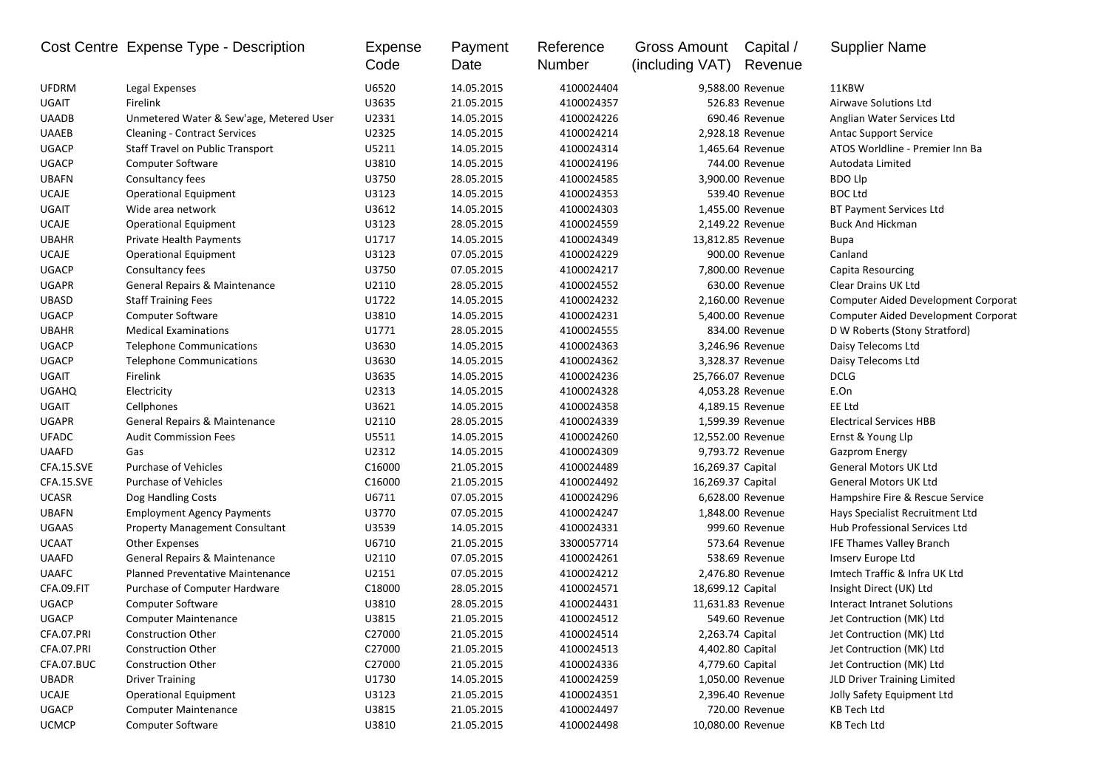|              | Cost Centre Expense Type - Description   | <b>Expense</b><br>Code | Payment<br>Date | Reference<br>Number | Gross Amount<br>(including VAT) | Capital /<br>Revenue | <b>Supplier Name</b>                       |
|--------------|------------------------------------------|------------------------|-----------------|---------------------|---------------------------------|----------------------|--------------------------------------------|
| <b>UFDRM</b> | Legal Expenses                           | U6520                  | 14.05.2015      | 4100024404          |                                 | 9,588.00 Revenue     | 11KBW                                      |
| <b>UGAIT</b> | Firelink                                 | U3635                  | 21.05.2015      | 4100024357          |                                 | 526.83 Revenue       | <b>Airwave Solutions Ltd</b>               |
| <b>UAADB</b> | Unmetered Water & Sew'age, Metered User  | U2331                  | 14.05.2015      | 4100024226          |                                 | 690.46 Revenue       | Anglian Water Services Ltd                 |
| <b>UAAEB</b> | <b>Cleaning - Contract Services</b>      | U2325                  | 14.05.2015      | 4100024214          |                                 | 2,928.18 Revenue     | <b>Antac Support Service</b>               |
| <b>UGACP</b> | <b>Staff Travel on Public Transport</b>  | U5211                  | 14.05.2015      | 4100024314          |                                 | 1,465.64 Revenue     | ATOS Worldline - Premier Inn Ba            |
| <b>UGACP</b> | Computer Software                        | U3810                  | 14.05.2015      | 4100024196          |                                 | 744.00 Revenue       | Autodata Limited                           |
| <b>UBAFN</b> | Consultancy fees                         | U3750                  | 28.05.2015      | 4100024585          |                                 | 3,900.00 Revenue     | <b>BDO Llp</b>                             |
| <b>UCAJE</b> | <b>Operational Equipment</b>             | U3123                  | 14.05.2015      | 4100024353          |                                 | 539.40 Revenue       | <b>BOC Ltd</b>                             |
| <b>UGAIT</b> | Wide area network                        | U3612                  | 14.05.2015      | 4100024303          |                                 | 1,455.00 Revenue     | <b>BT Payment Services Ltd</b>             |
| <b>UCAJE</b> | <b>Operational Equipment</b>             | U3123                  | 28.05.2015      | 4100024559          |                                 | 2,149.22 Revenue     | <b>Buck And Hickman</b>                    |
| <b>UBAHR</b> | <b>Private Health Payments</b>           | U1717                  | 14.05.2015      | 4100024349          |                                 | 13,812.85 Revenue    | <b>Bupa</b>                                |
| <b>UCAJE</b> | <b>Operational Equipment</b>             | U3123                  | 07.05.2015      | 4100024229          |                                 | 900.00 Revenue       | Canland                                    |
| <b>UGACP</b> | Consultancy fees                         | U3750                  | 07.05.2015      | 4100024217          |                                 | 7,800.00 Revenue     | Capita Resourcing                          |
| <b>UGAPR</b> | General Repairs & Maintenance            | U2110                  | 28.05.2015      | 4100024552          |                                 | 630.00 Revenue       | Clear Drains UK Ltd                        |
| <b>UBASD</b> | <b>Staff Training Fees</b>               | U1722                  | 14.05.2015      | 4100024232          |                                 | 2,160.00 Revenue     | <b>Computer Aided Development Corporat</b> |
| <b>UGACP</b> | <b>Computer Software</b>                 | U3810                  | 14.05.2015      | 4100024231          |                                 | 5,400.00 Revenue     | <b>Computer Aided Development Corporat</b> |
| <b>UBAHR</b> | <b>Medical Examinations</b>              | U1771                  | 28.05.2015      | 4100024555          |                                 | 834.00 Revenue       | D W Roberts (Stony Stratford)              |
| <b>UGACP</b> | <b>Telephone Communications</b>          | U3630                  | 14.05.2015      | 4100024363          |                                 | 3,246.96 Revenue     | Daisy Telecoms Ltd                         |
| <b>UGACP</b> | <b>Telephone Communications</b>          | U3630                  | 14.05.2015      | 4100024362          |                                 | 3,328.37 Revenue     | Daisy Telecoms Ltd                         |
| <b>UGAIT</b> | Firelink                                 | U3635                  | 14.05.2015      | 4100024236          |                                 | 25,766.07 Revenue    | <b>DCLG</b>                                |
| <b>UGAHQ</b> | Electricity                              | U2313                  | 14.05.2015      | 4100024328          |                                 | 4,053.28 Revenue     | E.On                                       |
| <b>UGAIT</b> | Cellphones                               | U3621                  | 14.05.2015      | 4100024358          |                                 | 4,189.15 Revenue     | EE Ltd                                     |
| <b>UGAPR</b> | General Repairs & Maintenance            | U2110                  | 28.05.2015      | 4100024339          |                                 | 1,599.39 Revenue     | <b>Electrical Services HBB</b>             |
| <b>UFADC</b> | <b>Audit Commission Fees</b>             | U5511                  | 14.05.2015      | 4100024260          |                                 | 12,552.00 Revenue    | Ernst & Young Llp                          |
| <b>UAAFD</b> | Gas                                      | U2312                  | 14.05.2015      | 4100024309          |                                 | 9,793.72 Revenue     | <b>Gazprom Energy</b>                      |
| CFA.15.SVE   | <b>Purchase of Vehicles</b>              | C16000                 | 21.05.2015      | 4100024489          | 16,269.37 Capital               |                      | <b>General Motors UK Ltd</b>               |
| CFA.15.SVE   | <b>Purchase of Vehicles</b>              | C16000                 | 21.05.2015      | 4100024492          | 16,269.37 Capital               |                      | <b>General Motors UK Ltd</b>               |
| <b>UCASR</b> | Dog Handling Costs                       | U6711                  | 07.05.2015      | 4100024296          |                                 | 6,628.00 Revenue     | Hampshire Fire & Rescue Service            |
| <b>UBAFN</b> | <b>Employment Agency Payments</b>        | U3770                  | 07.05.2015      | 4100024247          |                                 | 1,848.00 Revenue     | Hays Specialist Recruitment Ltd            |
| <b>UGAAS</b> | <b>Property Management Consultant</b>    | U3539                  | 14.05.2015      | 4100024331          |                                 | 999.60 Revenue       | Hub Professional Services Ltd              |
| <b>UCAAT</b> | <b>Other Expenses</b>                    | U6710                  | 21.05.2015      | 3300057714          |                                 | 573.64 Revenue       | IFE Thames Valley Branch                   |
| <b>UAAFD</b> | <b>General Repairs &amp; Maintenance</b> | U2110                  | 07.05.2015      | 4100024261          |                                 | 538.69 Revenue       | Imserv Europe Ltd                          |
| <b>UAAFC</b> | Planned Preventative Maintenance         | U2151                  | 07.05.2015      | 4100024212          |                                 | 2,476.80 Revenue     | Imtech Traffic & Infra UK Ltd              |
| CFA.09.FIT   | Purchase of Computer Hardware            | C18000                 | 28.05.2015      | 4100024571          | 18,699.12 Capital               |                      | Insight Direct (UK) Ltd                    |
| <b>UGACP</b> | Computer Software                        | U3810                  | 28.05.2015      | 4100024431          |                                 | 11,631.83 Revenue    | Interact Intranet Solutions                |
| <b>UGACP</b> | <b>Computer Maintenance</b>              | U3815                  | 21.05.2015      | 4100024512          |                                 | 549.60 Revenue       | Jet Contruction (MK) Ltd                   |
| CFA.07.PRI   | <b>Construction Other</b>                | C27000                 | 21.05.2015      | 4100024514          |                                 | 2,263.74 Capital     | Jet Contruction (MK) Ltd                   |
| CFA.07.PRI   | <b>Construction Other</b>                | C27000                 | 21.05.2015      | 4100024513          |                                 | 4,402.80 Capital     | Jet Contruction (MK) Ltd                   |
| CFA.07.BUC   | <b>Construction Other</b>                | C27000                 | 21.05.2015      | 4100024336          | 4,779.60 Capital                |                      | Jet Contruction (MK) Ltd                   |
| <b>UBADR</b> | <b>Driver Training</b>                   | U1730                  | 14.05.2015      | 4100024259          |                                 | 1,050.00 Revenue     | JLD Driver Training Limited                |
| <b>UCAJE</b> | <b>Operational Equipment</b>             | U3123                  | 21.05.2015      | 4100024351          |                                 | 2,396.40 Revenue     | Jolly Safety Equipment Ltd                 |
| <b>UGACP</b> | <b>Computer Maintenance</b>              | U3815                  | 21.05.2015      | 4100024497          |                                 | 720.00 Revenue       | <b>KB Tech Ltd</b>                         |
| <b>UCMCP</b> | <b>Computer Software</b>                 | U3810                  | 21.05.2015      | 4100024498          |                                 | 10,080.00 Revenue    | <b>KB Tech Ltd</b>                         |
|              |                                          |                        |                 |                     |                                 |                      |                                            |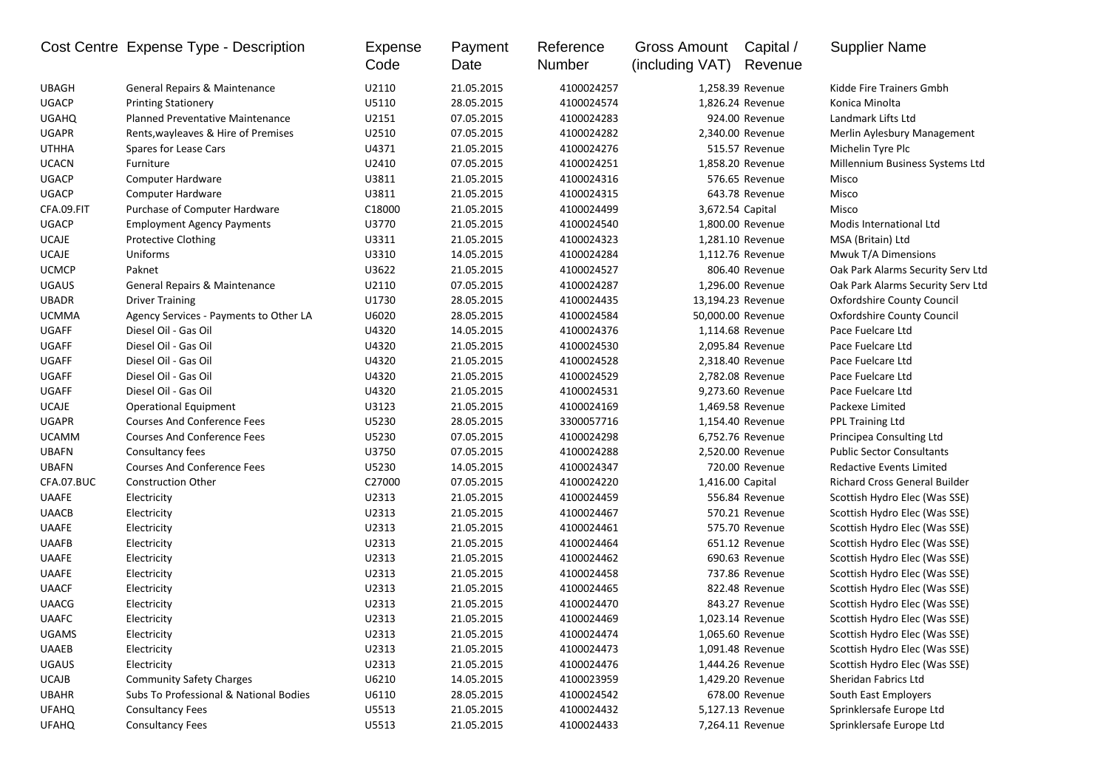|              | Cost Centre Expense Type - Description  | Expense<br>Code | Payment<br>Date | Reference<br>Number | Gross Amount<br>(including VAT) | Capital /<br>Revenue | <b>Supplier Name</b>                 |
|--------------|-----------------------------------------|-----------------|-----------------|---------------------|---------------------------------|----------------------|--------------------------------------|
| <b>UBAGH</b> | General Repairs & Maintenance           | U2110           | 21.05.2015      | 4100024257          |                                 | 1,258.39 Revenue     | Kidde Fire Trainers Gmbh             |
| <b>UGACP</b> | <b>Printing Stationery</b>              | U5110           | 28.05.2015      | 4100024574          |                                 | 1,826.24 Revenue     | Konica Minolta                       |
| <b>UGAHQ</b> | <b>Planned Preventative Maintenance</b> | U2151           | 07.05.2015      | 4100024283          |                                 | 924.00 Revenue       | Landmark Lifts Ltd                   |
| <b>UGAPR</b> | Rents, wayleaves & Hire of Premises     | U2510           | 07.05.2015      | 4100024282          |                                 | 2,340.00 Revenue     | Merlin Aylesbury Management          |
| <b>UTHHA</b> | Spares for Lease Cars                   | U4371           | 21.05.2015      | 4100024276          |                                 | 515.57 Revenue       | Michelin Tyre Plc                    |
| <b>UCACN</b> | Furniture                               | U2410           | 07.05.2015      | 4100024251          |                                 | 1,858.20 Revenue     | Millennium Business Systems Ltd      |
| UGACP        | Computer Hardware                       | U3811           | 21.05.2015      | 4100024316          |                                 | 576.65 Revenue       | Misco                                |
| <b>UGACP</b> | Computer Hardware                       | U3811           | 21.05.2015      | 4100024315          |                                 | 643.78 Revenue       | Misco                                |
| CFA.09.FIT   | Purchase of Computer Hardware           | C18000          | 21.05.2015      | 4100024499          | 3,672.54 Capital                |                      | Misco                                |
| <b>UGACP</b> | <b>Employment Agency Payments</b>       | U3770           | 21.05.2015      | 4100024540          |                                 | 1,800.00 Revenue     | Modis International Ltd              |
| <b>UCAJE</b> | <b>Protective Clothing</b>              | U3311           | 21.05.2015      | 4100024323          |                                 | 1,281.10 Revenue     | MSA (Britain) Ltd                    |
| <b>UCAJE</b> | Uniforms                                | U3310           | 14.05.2015      | 4100024284          |                                 | 1,112.76 Revenue     | Mwuk T/A Dimensions                  |
| <b>UCMCP</b> | Paknet                                  | U3622           | 21.05.2015      | 4100024527          |                                 | 806.40 Revenue       | Oak Park Alarms Security Serv Ltd    |
| <b>UGAUS</b> | General Repairs & Maintenance           | U2110           | 07.05.2015      | 4100024287          |                                 | 1,296.00 Revenue     | Oak Park Alarms Security Serv Ltd    |
| <b>UBADR</b> | <b>Driver Training</b>                  | U1730           | 28.05.2015      | 4100024435          |                                 | 13,194.23 Revenue    | <b>Oxfordshire County Council</b>    |
| <b>UCMMA</b> | Agency Services - Payments to Other LA  | U6020           | 28.05.2015      | 4100024584          | 50,000.00 Revenue               |                      | <b>Oxfordshire County Council</b>    |
| <b>UGAFF</b> | Diesel Oil - Gas Oil                    | U4320           | 14.05.2015      | 4100024376          |                                 | 1,114.68 Revenue     | Pace Fuelcare Ltd                    |
| <b>UGAFF</b> | Diesel Oil - Gas Oil                    | U4320           | 21.05.2015      | 4100024530          |                                 | 2,095.84 Revenue     | Pace Fuelcare Ltd                    |
| <b>UGAFF</b> | Diesel Oil - Gas Oil                    | U4320           | 21.05.2015      | 4100024528          |                                 | 2,318.40 Revenue     | Pace Fuelcare Ltd                    |
| <b>UGAFF</b> | Diesel Oil - Gas Oil                    | U4320           | 21.05.2015      | 4100024529          |                                 | 2,782.08 Revenue     | Pace Fuelcare Ltd                    |
| <b>UGAFF</b> | Diesel Oil - Gas Oil                    | U4320           | 21.05.2015      | 4100024531          |                                 | 9,273.60 Revenue     | Pace Fuelcare Ltd                    |
| <b>UCAJE</b> | <b>Operational Equipment</b>            | U3123           | 21.05.2015      | 4100024169          |                                 | 1,469.58 Revenue     | Packexe Limited                      |
| <b>UGAPR</b> | <b>Courses And Conference Fees</b>      | U5230           | 28.05.2015      | 3300057716          |                                 | 1,154.40 Revenue     | PPL Training Ltd                     |
| <b>UCAMM</b> | <b>Courses And Conference Fees</b>      | U5230           | 07.05.2015      | 4100024298          |                                 | 6,752.76 Revenue     | Principea Consulting Ltd             |
| <b>UBAFN</b> | Consultancy fees                        | U3750           | 07.05.2015      | 4100024288          |                                 | 2,520.00 Revenue     | <b>Public Sector Consultants</b>     |
| <b>UBAFN</b> | <b>Courses And Conference Fees</b>      | U5230           | 14.05.2015      | 4100024347          |                                 | 720.00 Revenue       | Redactive Events Limited             |
| CFA.07.BUC   | <b>Construction Other</b>               | C27000          | 07.05.2015      | 4100024220          | 1,416.00 Capital                |                      | <b>Richard Cross General Builder</b> |
| <b>UAAFE</b> | Electricity                             | U2313           | 21.05.2015      | 4100024459          |                                 | 556.84 Revenue       | Scottish Hydro Elec (Was SSE)        |
| <b>UAACB</b> | Electricity                             | U2313           | 21.05.2015      | 4100024467          |                                 | 570.21 Revenue       | Scottish Hydro Elec (Was SSE)        |
| <b>UAAFE</b> | Electricity                             | U2313           | 21.05.2015      | 4100024461          |                                 | 575.70 Revenue       | Scottish Hydro Elec (Was SSE)        |
| <b>UAAFB</b> | Electricity                             | U2313           | 21.05.2015      | 4100024464          |                                 | 651.12 Revenue       | Scottish Hydro Elec (Was SSE)        |
| <b>UAAFE</b> | Electricity                             | U2313           | 21.05.2015      | 4100024462          |                                 | 690.63 Revenue       | Scottish Hydro Elec (Was SSE)        |
| <b>UAAFE</b> | Electricity                             | U2313           | 21.05.2015      | 4100024458          |                                 | 737.86 Revenue       | Scottish Hydro Elec (Was SSE)        |
| <b>UAACF</b> | Electricity                             | U2313           | 21.05.2015      | 4100024465          |                                 | 822.48 Revenue       | Scottish Hydro Elec (Was SSE)        |
| <b>UAACG</b> | Electricity                             | U2313           | 21.05.2015      | 4100024470          |                                 | 843.27 Revenue       | Scottish Hydro Elec (Was SSE)        |
| <b>UAAFC</b> | Electricity                             | U2313           | 21.05.2015      | 4100024469          |                                 | 1,023.14 Revenue     | Scottish Hydro Elec (Was SSE)        |
| <b>UGAMS</b> | Electricity                             | U2313           | 21.05.2015      | 4100024474          |                                 | 1,065.60 Revenue     | Scottish Hydro Elec (Was SSE)        |
| <b>UAAEB</b> | Electricity                             | U2313           | 21.05.2015      | 4100024473          |                                 | 1,091.48 Revenue     | Scottish Hydro Elec (Was SSE)        |
| <b>UGAUS</b> | Electricity                             | U2313           | 21.05.2015      | 4100024476          |                                 | 1,444.26 Revenue     | Scottish Hydro Elec (Was SSE)        |
| <b>UCAJB</b> | <b>Community Safety Charges</b>         | U6210           | 14.05.2015      | 4100023959          |                                 | 1,429.20 Revenue     | Sheridan Fabrics Ltd                 |
| <b>UBAHR</b> | Subs To Professional & National Bodies  | U6110           | 28.05.2015      | 4100024542          |                                 | 678.00 Revenue       | South East Employers                 |
| <b>UFAHQ</b> | <b>Consultancy Fees</b>                 | U5513           | 21.05.2015      | 4100024432          |                                 | 5,127.13 Revenue     | Sprinklersafe Europe Ltd             |
| <b>UFAHQ</b> | <b>Consultancy Fees</b>                 | U5513           | 21.05.2015      | 4100024433          |                                 | 7,264.11 Revenue     | Sprinklersafe Europe Ltd             |